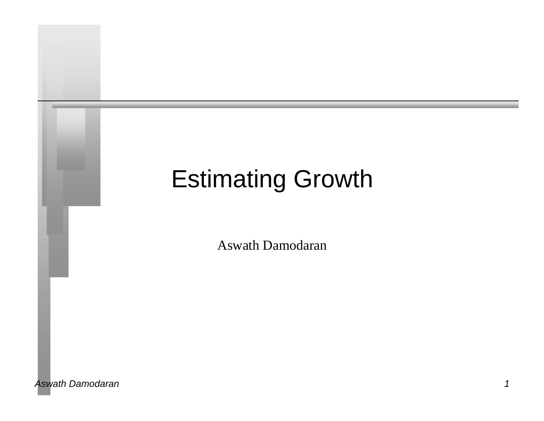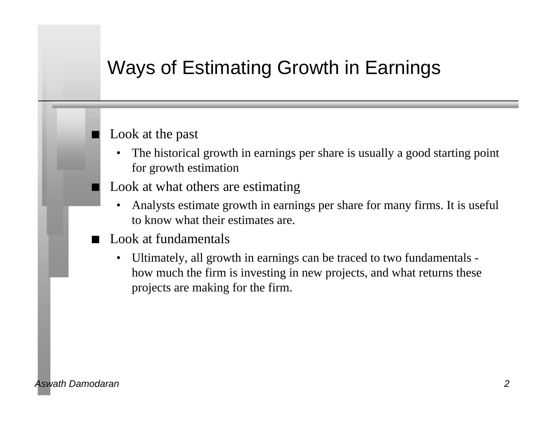# Ways of Estimating Growth in Earnings

#### Look at the past

- The historical growth in earnings per share is usually a good starting point for growth estimation
- Look at what others are estimating
	- Analysts estimate growth in earnings per share for many firms. It is useful to know what their estimates are.
- Look at fundamentals
	- Ultimately, all growth in earnings can be traced to two fundamentals how much the firm is investing in new projects, and what returns these projects are making for the firm.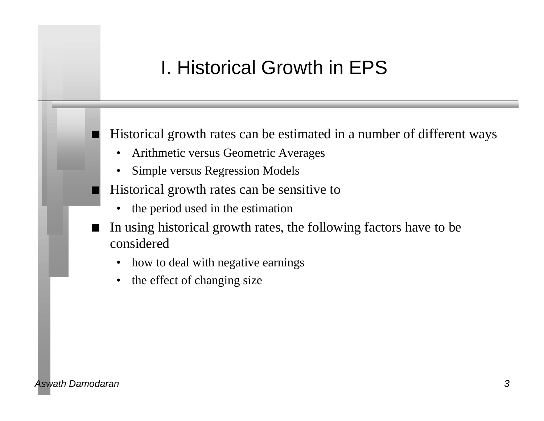# I. Historical Growth in EPS

Historical growth rates can be estimated in a number of different ways

- Arithmetic versus Geometric Averages
- Simple versus Regression Models
- Historical growth rates can be sensitive to
	- the period used in the estimation
- n In using historical growth rates, the following factors have to be considered
	- how to deal with negative earnings
	- the effect of changing size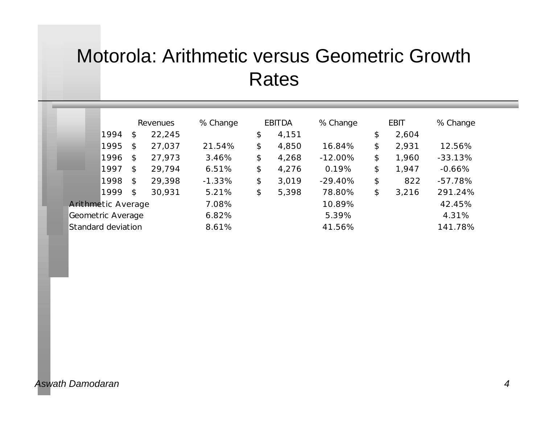# Motorola: Arithmetic versus Geometric Growth Rates

|                           |      |                            | Revenues | % Change | <b>EBITDA</b> | % Change  | <b>EBIT</b> | % Change  |
|---------------------------|------|----------------------------|----------|----------|---------------|-----------|-------------|-----------|
|                           | 1994 | \$                         | 22,245   |          | \$<br>4,151   |           | \$<br>2,604 |           |
|                           | 1995 | $\mathfrak{P}$             | 27,037   | 21.54%   | \$<br>4,850   | 16.84%    | \$<br>2,931 | 12.56%    |
|                           | 1996 | \$                         | 27,973   | 3.46%    | \$<br>4,268   | $-12.00%$ | \$<br>1,960 | $-33.13%$ |
|                           | 1997 | $\mathfrak{P}$             | 29,794   | 6.51%    | \$<br>4,276   | 0.19%     | \$<br>1,947 | $-0.66%$  |
|                           | 1998 | $\boldsymbol{\mathsf{\$}}$ | 29,398   | $-1.33%$ | \$<br>3,019   | $-29.40%$ | \$<br>822   | $-57.78%$ |
|                           | 1999 | \$                         | 30,931   | 5.21%    | \$<br>5,398   | 78.80%    | \$<br>3,216 | 291.24%   |
| <b>Arithmetic Average</b> |      | 7.08%                      |          | 10.89%   |               | 42.45%    |             |           |
| Geometric Average         |      |                            |          | 6.82%    |               | 5.39%     |             | 4.31%     |
| Standard deviation        |      |                            |          | 8.61%    |               | 41.56%    |             | 141.78%   |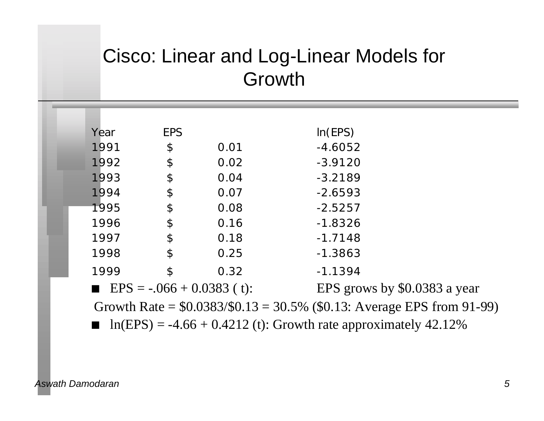# Cisco: Linear and Log-Linear Models for Growth

| Year | <b>EPS</b>                 |      | In(EPS)                                                                 |
|------|----------------------------|------|-------------------------------------------------------------------------|
| 1991 | \$                         | 0.01 | $-4.6052$                                                               |
| 1992 | $\boldsymbol{\varphi}$     | 0.02 | $-3.9120$                                                               |
| 1993 | $\boldsymbol{\varphi}$     | 0.04 | $-3.2189$                                                               |
| 1994 | $\boldsymbol{\varphi}$     | 0.07 | $-2.6593$                                                               |
| 1995 | $\boldsymbol{\varphi}$     | 0.08 | $-2.5257$                                                               |
| 1996 | $\boldsymbol{\varphi}$     | 0.16 | $-1.8326$                                                               |
| 1997 | $\boldsymbol{\varphi}$     | 0.18 | $-1.7148$                                                               |
| 1998 | $\boldsymbol{\varphi}$     | 0.25 | $-1.3863$                                                               |
| 1999 | $\boldsymbol{\mathsf{\$}}$ | 0.32 | $-1.1394$                                                               |
|      |                            |      | EPS grows by \$0.0383 a year                                            |
|      |                            |      | Growth Rate = $$0.0383/$0.13 = 30.5\%$ (\$0.13: Average EPS from 91-99) |
|      |                            |      | $ln(EPS) = -4.66 + 0.4212$ (t): Growth rate approximately 42.12%        |
|      |                            |      | <b>EPS</b> = $-0.066 + 0.0383$ (t):                                     |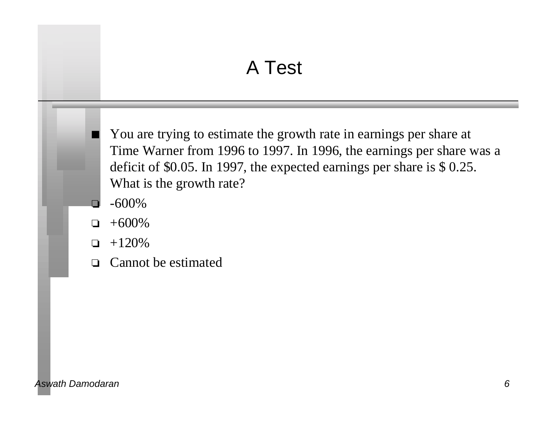# A Test

You are trying to estimate the growth rate in earnings per share at Time Warner from 1996 to 1997. In 1996, the earnings per share was a deficit of \$0.05. In 1997, the expected earnings per share is \$ 0.25. What is the growth rate?

- $\Box$  -600%
- $+600\%$
- $-120\%$
- $\Box$  Cannot be estimated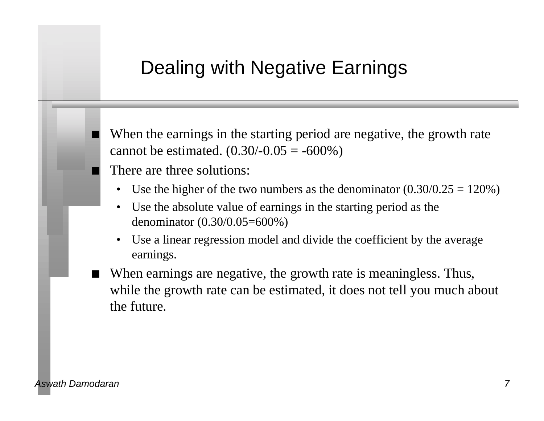### Dealing with Negative Earnings

When the earnings in the starting period are negative, the growth rate cannot be estimated.  $(0.30/-0.05 = -600%)$ 

There are three solutions:

- Use the higher of the two numbers as the denominator  $(0.30/0.25 = 120\%)$
- Use the absolute value of earnings in the starting period as the denominator (0.30/0.05=600%)
- Use a linear regression model and divide the coefficient by the average earnings.
- When earnings are negative, the growth rate is meaningless. Thus, while the growth rate can be estimated, it does not tell you much about the future.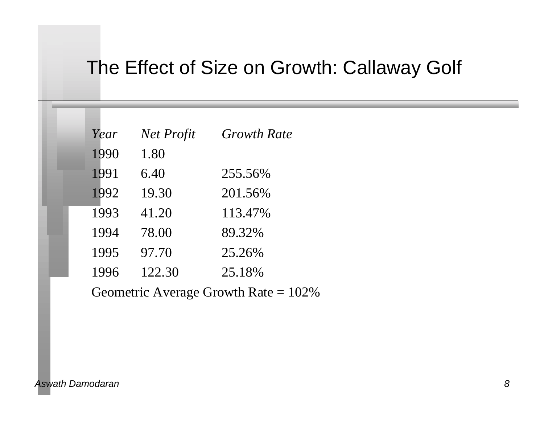### The Effect of Size on Growth: Callaway Golf

| Year | Net Profit | <b>Growth Rate</b> |
|------|------------|--------------------|
| 1990 | 1.80       |                    |
| 1991 | 6.40       | 255.56%            |
| 1992 | 19.30      | 201.56%            |
| 1993 | 41.20      | 113.47%            |
| 1994 | 78.00      | 89.32%             |
| 1995 | 97.70      | 25.26%             |
| 1996 | 122.30     | 25.18%             |

Geometric Average Growth Rate = 102%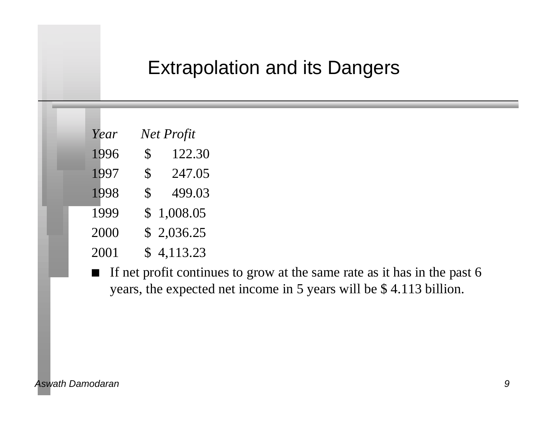### Extrapolation and its Dangers

| Net Profit<br>Year |  |
|--------------------|--|
|--------------------|--|

- 1996 \$ 122.30
- 1997 \$ 247.05
- 1998 \$ 499.03
- 1999 \$ 1,008.05
- 2000 \$ 2,036.25
- 2001 \$ 4,113.23
- If net profit continues to grow at the same rate as it has in the past 6 years, the expected net income in 5 years will be \$ 4.113 billion.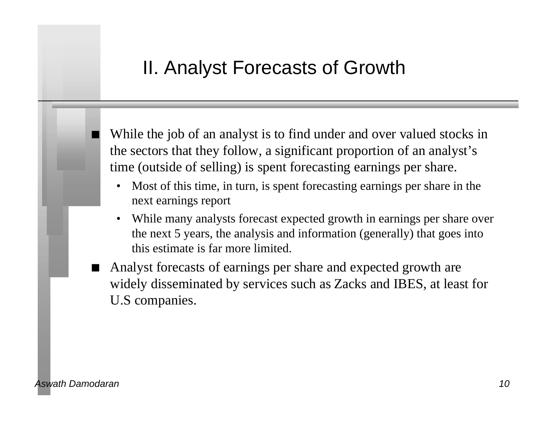## II. Analyst Forecasts of Growth

While the job of an analyst is to find under and over valued stocks in the sectors that they follow, a significant proportion of an analyst's time (outside of selling) is spent forecasting earnings per share.

- Most of this time, in turn, is spent forecasting earnings per share in the next earnings report
- While many analysts forecast expected growth in earnings per share over the next 5 years, the analysis and information (generally) that goes into this estimate is far more limited.
- Analyst forecasts of earnings per share and expected growth are widely disseminated by services such as Zacks and IBES, at least for U.S companies.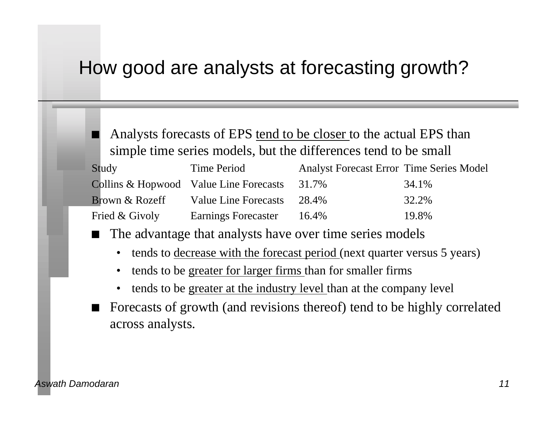### How good are analysts at forecasting growth?

Analysts forecasts of EPS tend to be closer to the actual EPS than simple time series models, but the differences tend to be small

| Study          | Time Period                            | <b>Analyst Forecast Error Time Series Model</b> |       |
|----------------|----------------------------------------|-------------------------------------------------|-------|
|                | Collins & Hopwood Value Line Forecasts | 31.7%                                           | 34.1% |
| Brown & Rozeff | Value Line Forecasts                   | 28.4%                                           | 32.2% |
| Fried & Givoly | <b>Earnings Forecaster</b>             | 16.4%                                           | 19.8% |

The advantage that analysts have over time series models

- tends to <u>decrease with the forecast period</u> (next quarter versus 5 years)
- tends to be greater for larger firms than for smaller firms
- tends to be greater at the industry level than at the company level
- Forecasts of growth (and revisions thereof) tend to be highly correlated across analysts.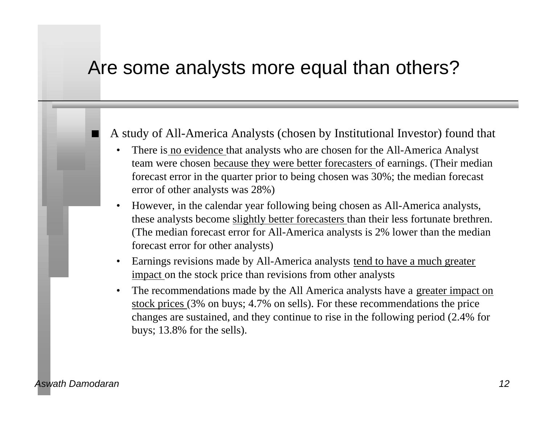### Are some analysts more equal than others?

#### n A study of All-America Analysts (chosen by Institutional Investor) found that

- There is no evidence that analysts who are chosen for the All-America Analyst team were chosen because they were better forecasters of earnings. (Their median forecast error in the quarter prior to being chosen was 30%; the median forecast error of other analysts was 28%)
- However, in the calendar year following being chosen as All-America analysts, these analysts become slightly better forecasters than their less fortunate brethren. (The median forecast error for All-America analysts is 2% lower than the median forecast error for other analysts)
- Earnings revisions made by All-America analysts tend to have a much greater impact on the stock price than revisions from other analysts
- The recommendations made by the All America analysts have a greater impact on stock prices (3% on buys; 4.7% on sells). For these recommendations the price changes are sustained, and they continue to rise in the following period (2.4% for buys; 13.8% for the sells).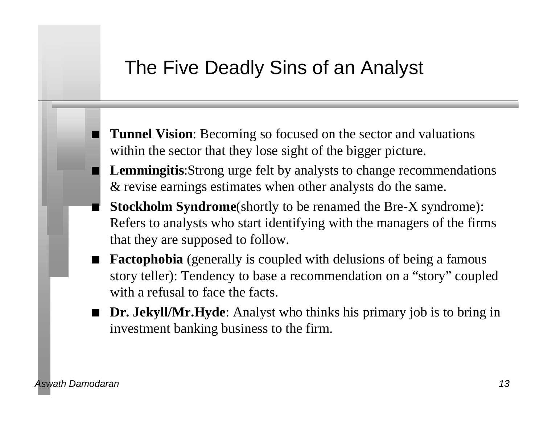### The Five Deadly Sins of an Analyst

- **Tunnel Vision**: Becoming so focused on the sector and valuations within the sector that they lose sight of the bigger picture.
- n **Lemmingitis**:Strong urge felt by analysts to change recommendations & revise earnings estimates when other analysts do the same.
- n **Stockholm Syndrome**(shortly to be renamed the Bre-X syndrome): Refers to analysts who start identifying with the managers of the firms that they are supposed to follow.
- **Factophobia** (generally is coupled with delusions of being a famous story teller): Tendency to base a recommendation on a "story" coupled with a refusal to face the facts.
- **Dr. Jekyll/Mr.Hyde:** Analyst who thinks his primary job is to bring in investment banking business to the firm.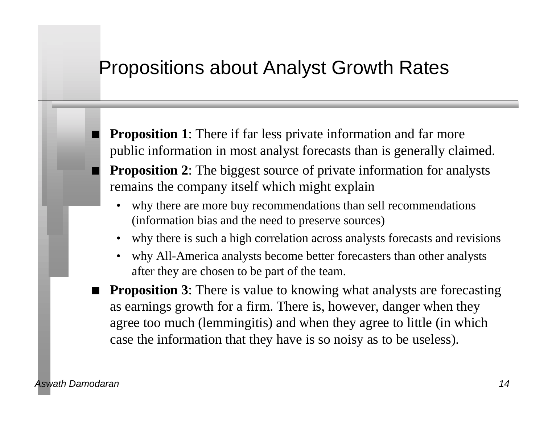#### Propositions about Analyst Growth Rates

- **Proposition 1**: There if far less private information and far more public information in most analyst forecasts than is generally claimed. **Proposition 2**: The biggest source of private information for analysts remains the company itself which might explain
	- why there are more buy recommendations than sell recommendations (information bias and the need to preserve sources)
	- why there is such a high correlation across analysts forecasts and revisions
	- why All-America analysts become better forecasters than other analysts after they are chosen to be part of the team.
- **Proposition 3**: There is value to knowing what analysts are forecasting as earnings growth for a firm. There is, however, danger when they agree too much (lemmingitis) and when they agree to little (in which case the information that they have is so noisy as to be useless).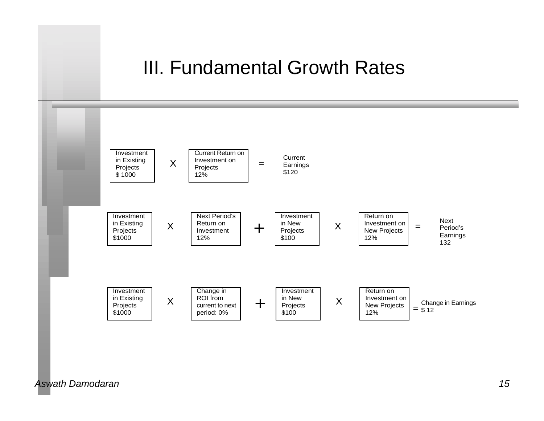#### III. Fundamental Growth Rates

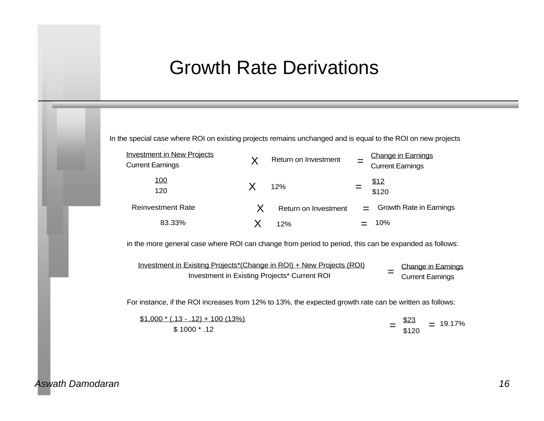#### Growth Rate Derivations

In the special case where ROI on existing projects remains unchanged and is equal to the ROI on new projects

| <b>Investment in New Projects</b> | Return on Investment | <b>Change in Earnings</b> |
|-----------------------------------|----------------------|---------------------------|
| <b>Current Earnings</b>           |                      | <b>Current Earnings</b>   |
| <u>100</u>                        |                      | \$12                      |
| 120                               | 12%                  | \$120                     |
| <b>Reinvestment Rate</b>          | Return on Investment | Growth Rate in Earnings   |
| 83.33%                            | 12%                  | 10%                       |

in the more general case where ROI can change from period to period, this can be expanded as follows:

Investment in Existing Projects\*(Change in ROI) + New Projects (ROI) Investment in Existing Projects\* Current ROI Change in Earnings  $=$  Current Earnings

For instance, if the ROI increases from 12% to 13%, the expected growth rate can be written as follows:

| $$1,000*(.13-.12) + 100(13%)$ | \$23  | $= 19.17%$ |
|-------------------------------|-------|------------|
| $$1000$ $*$ .12               | \$120 |            |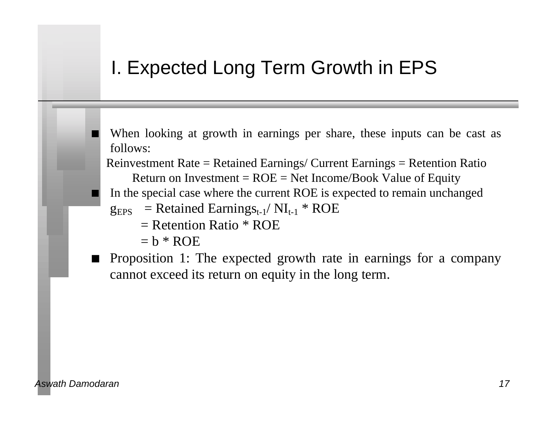# I. Expected Long Term Growth in EPS

- When looking at growth in earnings per share, these inputs can be cast as follows:
- Reinvestment Rate = Retained Earnings/ Current Earnings = Retention Ratio Return on Investment =  $ROE = Net$  Income/Book Value of Equity
- n In the special case where the current ROE is expected to remain unchanged
- $g_{EPS}$  = Retained Earnings<sub>t-1</sub>/ NI<sub>t-1</sub> \* ROE
	- $=$  Retention Ratio  $*$  ROE
	- $=$  h  $*$  ROE
- Proposition 1: The expected growth rate in earnings for a company cannot exceed its return on equity in the long term.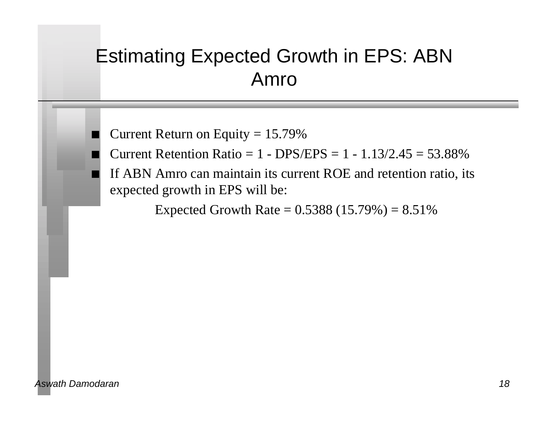# Estimating Expected Growth in EPS: ABN Amro

Current Return on Equity  $= 15.79\%$ 

Current Retention Ratio =  $1 - DPS/EPS = 1 - 1.13/2.45 = 53.88\%$ 

If ABN Amro can maintain its current ROE and retention ratio, its expected growth in EPS will be:

Expected Growth Rate =  $0.5388(15.79%) = 8.51%$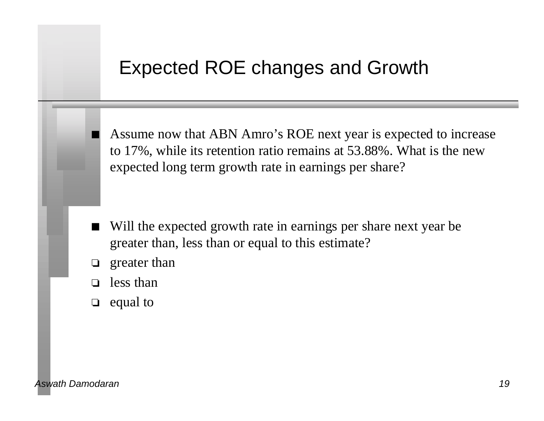#### Expected ROE changes and Growth

Assume now that ABN Amro's ROE next year is expected to increase to 17%, while its retention ratio remains at 53.88%. What is the new expected long term growth rate in earnings per share?

- Will the expected growth rate in earnings per share next year be greater than, less than or equal to this estimate?
- $\Box$  greater than
- $\Box$  less than
- $\Box$  equal to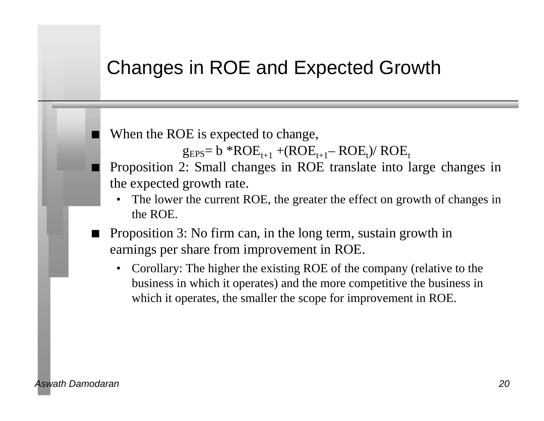### Changes in ROE and Expected Growth

When the ROE is expected to change,

 $g_{EPS}$ = b \*ROE<sub>t+1</sub> +(ROE<sub>t+1</sub> – ROE<sub>t</sub>)/ ROE<sub>t</sub>

n Proposition 2: Small changes in ROE translate into large changes in the expected growth rate.

- The lower the current ROE, the greater the effect on growth of changes in the ROE.
- n Proposition 3: No firm can, in the long term, sustain growth in earnings per share from improvement in ROE.
	- Corollary: The higher the existing ROE of the company (relative to the business in which it operates) and the more competitive the business in which it operates, the smaller the scope for improvement in ROE.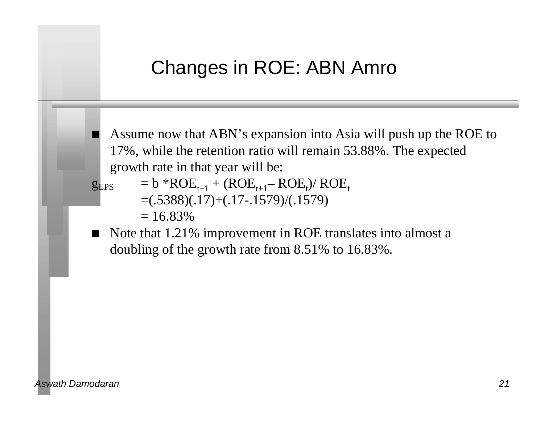# Changes in ROE: ABN Amro

Assume now that ABN's expansion into Asia will push up the ROE to 17%, while the retention ratio will remain 53.88%. The expected growth rate in that year will be:

- $g_{EPS}$  = b \*ROE<sub>t+1</sub> + (ROE<sub>t+1</sub> ROE<sub>t</sub>)/ ROE<sub>t</sub>  $=$ (.5388)(.17)+(.17-.1579)/(.1579)
	- $= 16.83\%$
- Note that 1.21% improvement in ROE translates into almost a doubling of the growth rate from 8.51% to 16.83%.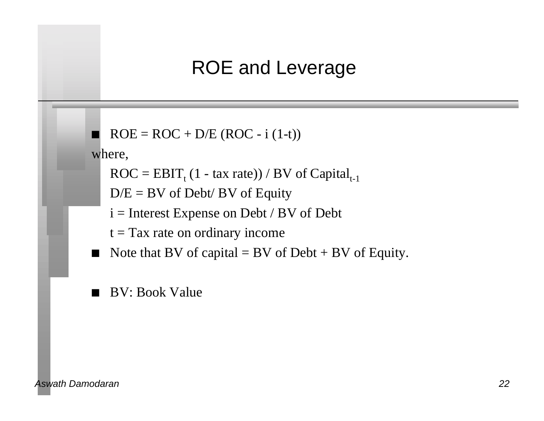### ROE and Leverage

```
ROE = ROC + D/E (ROC - i (1-t))
```
where,

 $\text{ROC} = \text{EBIT}_{t} (1 - \text{tax rate}) / \text{BV of Capital}_{t-1}$ 

 $D/E = BV$  of Debt/ BV of Equity

- i = Interest Expense on Debt / BV of Debt
- $t = Tax$  rate on ordinary income
- Note that BV of capital  $=$  BV of Debt  $+$  BV of Equity.
- n BV: Book Value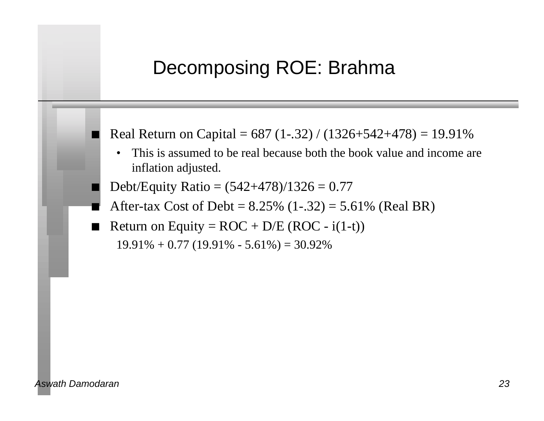### Decomposing ROE: Brahma

Real Return on Capital =  $687$  (1-.32) / (1326+542+478) = 19.91%

- This is assumed to be real because both the book value and income are inflation adjusted.
- Debt/Equity Ratio =  $(542+478)/1326 = 0.77$
- After-tax Cost of Debt =  $8.25\%$  (1-.32) =  $5.61\%$  (Real BR)
- Return on Equity =  $ROC + D/E (ROC i(1-t))$  $19.91\% + 0.77$  (19.91% - 5.61%) = 30.92%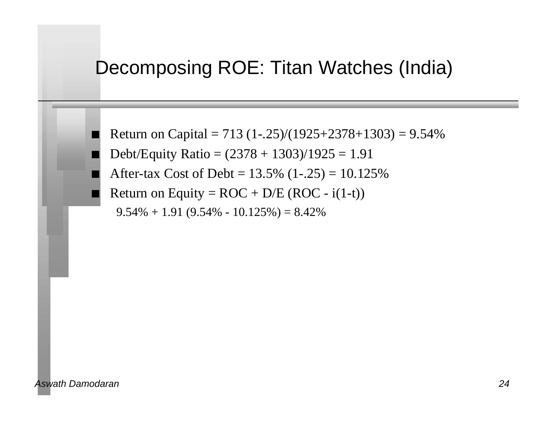### Decomposing ROE: Titan Watches (India)

- Return on Capital = 713 (1-.25)/(1925+2378+1303) =  $9.54\%$
- Debt/Equity Ratio =  $(2378 + 1303)/1925 = 1.91$
- After-tax Cost of Debt =  $13.5\%$  (1-.25) =  $10.125\%$
- Return on Equity =  $ROC + D/E (ROC i(1-t))$ 
	- $9.54\% + 1.91 (9.54\% 10.125\%) = 8.42\%$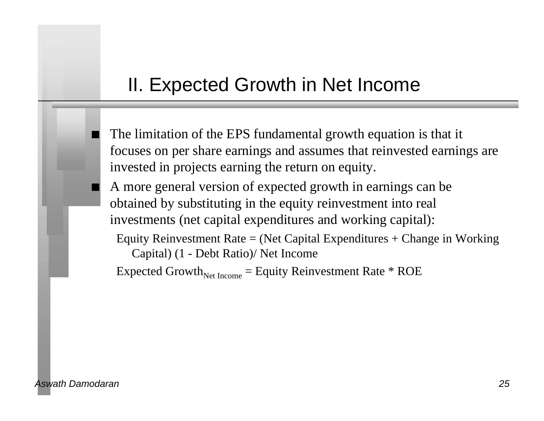### II. Expected Growth in Net Income

The limitation of the EPS fundamental growth equation is that it focuses on per share earnings and assumes that reinvested earnings are invested in projects earning the return on equity.

A more general version of expected growth in earnings can be obtained by substituting in the equity reinvestment into real investments (net capital expenditures and working capital):

Equity Reinvestment Rate = (Net Capital Expenditures + Change in Working Capital) (1 - Debt Ratio)/ Net Income

Expected Growth<sub>Net Income</sub> = Equity Reinvestment Rate  $*$  ROE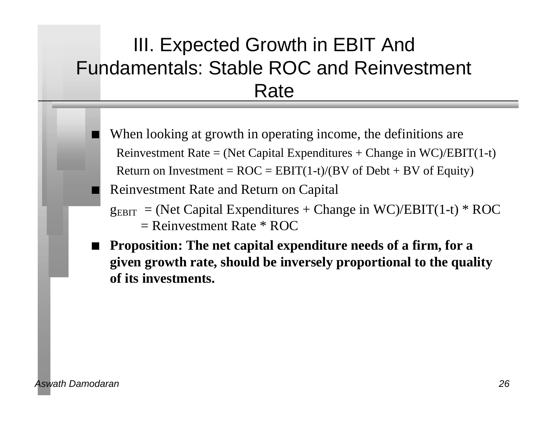# III. Expected Growth in EBIT And Fundamentals: Stable ROC and Reinvestment Rate

- When looking at growth in operating income, the definitions are Reinvestment Rate = (Net Capital Expenditures + Change in  $WC$ )/EBIT(1-t) Return on Investment =  $ROC = EBIT(1-t)/(BV)$  of Debt + BV of Equity)
- n Reinvestment Rate and Return on Capital
- $g_{EBIT}$  = (Net Capital Expenditures + Change in WC)/EBIT(1-t) \* ROC  $=$  Reinvestment Rate  $*$  ROC
- n **Proposition: The net capital expenditure needs of a firm, for a given growth rate, should be inversely proportional to the quality of its investments.**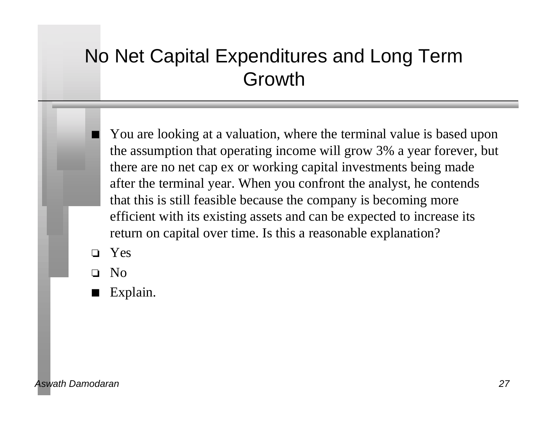# No Net Capital Expenditures and Long Term Growth

You are looking at a valuation, where the terminal value is based upon the assumption that operating income will grow 3% a year forever, but there are no net cap ex or working capital investments being made after the terminal year. When you confront the analyst, he contends that this is still feasible because the company is becoming more efficient with its existing assets and can be expected to increase its return on capital over time. Is this a reasonable explanation?

o Yes

o No

Explain.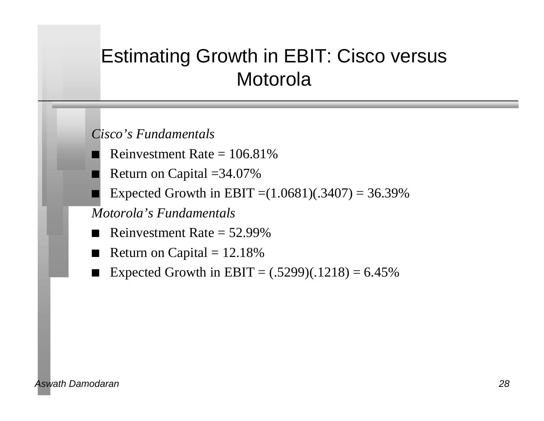# Estimating Growth in EBIT: Cisco versus Motorola

*Cisco's Fundamentals*

- Reinvestment Rate  $= 106.81\%$
- Return on Capital  $=34.07\%$
- Expected Growth in EBIT = $(1.0681)(.3407) = 36.39\%$

*Motorola's Fundamentals*

- Reinvestment Rate  $= 52.99\%$
- Return on Capital  $= 12.18\%$
- Expected Growth in EBIT =  $(.5299)(.1218) = 6.45\%$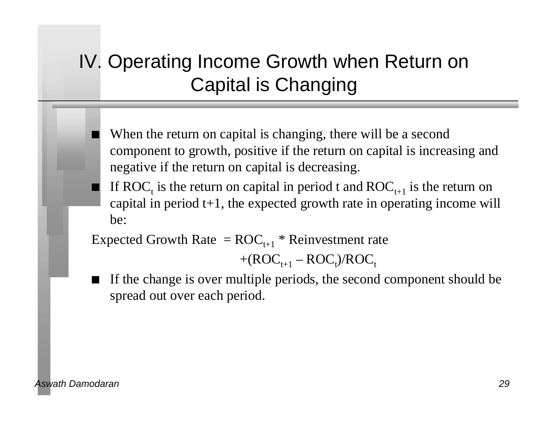# IV. Operating Income Growth when Return on Capital is Changing

- When the return on capital is changing, there will be a second component to growth, positive if the return on capital is increasing and negative if the return on capital is decreasing.
- If ROC<sub>t</sub> is the return on capital in period t and ROC<sub>t+1</sub> is the return on capital in period  $t+1$ , the expected growth rate in operating income will be:

Expected Growth Rate =  $ROC_{t+1} * Reinvestment$  rate

 $+(ROC_{t+1} - ROC_{t})/ROC_{t}$ 

If the change is over multiple periods, the second component should be spread out over each period.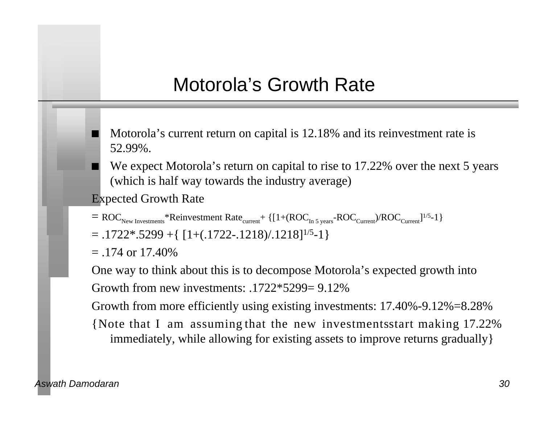# Motorola's Growth Rate

- Motorola's current return on capital is 12.18% and its reinvestment rate is 52.99%.
- We expect Motorola's return on capital to rise to 17.22% over the next 5 years (which is half way towards the industry average)
- Expected Growth Rate
- $=$  ROC<sub>New Investments</sub>\*Reinvestment Rate<sub>current</sub> +  $\{[1+(ROC_{In 5 \text{ years}}-ROC_{Current})/ROC_{Current}]^{1/5}-1\}$
- $= .1722$ \*.5299 +{ $[1+(.1722-.1218)/.1218]^{1/5}$ -1}
- $=$  .174 or 17.40%

One way to think about this is to decompose Motorola's expected growth into Growth from new investments: .1722\*5299= 9.12%

Growth from more efficiently using existing investments: 17.40%-9.12%=8.28%

{Note that I am assuming that the new investments start making  $17.22\%$ immediately, while allowing for existing assets to improve returns gradually}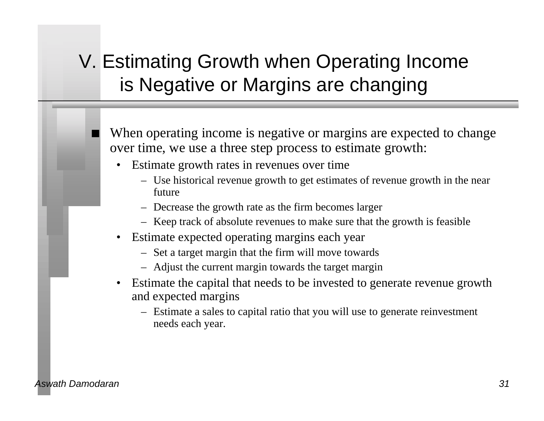# V. Estimating Growth when Operating Income is Negative or Margins are changing

When operating income is negative or margins are expected to change over time, we use a three step process to estimate growth:

- Estimate growth rates in revenues over time
	- Use historical revenue growth to get estimates of revenue growth in the near future
	- Decrease the growth rate as the firm becomes larger
	- Keep track of absolute revenues to make sure that the growth is feasible
- Estimate expected operating margins each year
	- Set a target margin that the firm will move towards
	- Adjust the current margin towards the target margin
- Estimate the capital that needs to be invested to generate revenue growth and expected margins
	- Estimate a sales to capital ratio that you will use to generate reinvestment needs each year.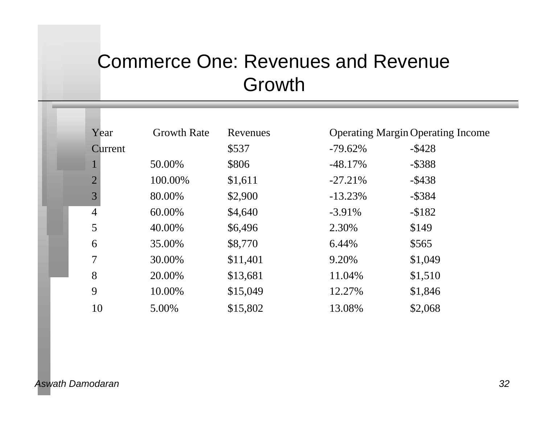# Commerce One: Revenues and Revenue Growth

| Year           | <b>Growth Rate</b> | Revenues |           | <b>Operating Margin Operating Income</b> |
|----------------|--------------------|----------|-----------|------------------------------------------|
| Current        |                    | \$537    | $-79.62%$ | $-$ \$428                                |
|                | 50.00%             | \$806    | $-48.17%$ | $-$ \$388                                |
| $\overline{2}$ | 100.00%            | \$1,611  | $-27.21%$ | $-$ \$438                                |
| 3              | 80.00%             | \$2,900  | $-13.23%$ | $-$ \$384                                |
| $\overline{4}$ | 60.00%             | \$4,640  | $-3.91\%$ | $-$ \$182                                |
| 5              | 40.00%             | \$6,496  | 2.30%     | \$149                                    |
| 6              | 35.00%             | \$8,770  | 6.44%     | \$565                                    |
| 7              | 30.00%             | \$11,401 | 9.20%     | \$1,049                                  |
| 8              | 20.00%             | \$13,681 | 11.04%    | \$1,510                                  |
| 9              | 10.00%             | \$15,049 | 12.27%    | \$1,846                                  |
| 10             | 5.00%              | \$15,802 | 13.08%    | \$2,068                                  |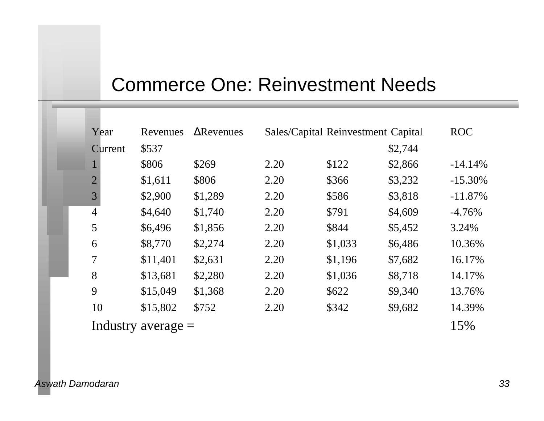# Commerce One: Reinvestment Needs

| Year           | Revenues             | Revenues |      | Sales/Capital Reinvestment Capital |         | <b>ROC</b> |
|----------------|----------------------|----------|------|------------------------------------|---------|------------|
| Current        | \$537                |          |      |                                    | \$2,744 |            |
| $\mathbf{1}$   | \$806                | \$269    | 2.20 | \$122                              | \$2,866 | $-14.14%$  |
| $\overline{2}$ | \$1,611              | \$806    | 2.20 | \$366                              | \$3,232 | $-15.30%$  |
| 3              | \$2,900              | \$1,289  | 2.20 | \$586                              | \$3,818 | $-11.87%$  |
| $\overline{4}$ | \$4,640              | \$1,740  | 2.20 | \$791                              | \$4,609 | $-4.76%$   |
| 5              | \$6,496              | \$1,856  | 2.20 | \$844                              | \$5,452 | 3.24%      |
| 6              | \$8,770              | \$2,274  | 2.20 | \$1,033                            | \$6,486 | 10.36%     |
| $\overline{7}$ | \$11,401             | \$2,631  | 2.20 | \$1,196                            | \$7,682 | 16.17%     |
| 8              | \$13,681             | \$2,280  | 2.20 | \$1,036                            | \$8,718 | 14.17%     |
| 9              | \$15,049             | \$1,368  | 2.20 | \$622                              | \$9,340 | 13.76%     |
| 10             | \$15,802             | \$752    | 2.20 | \$342                              | \$9,682 | 14.39%     |
|                | Industry average $=$ |          |      |                                    |         | 15%        |